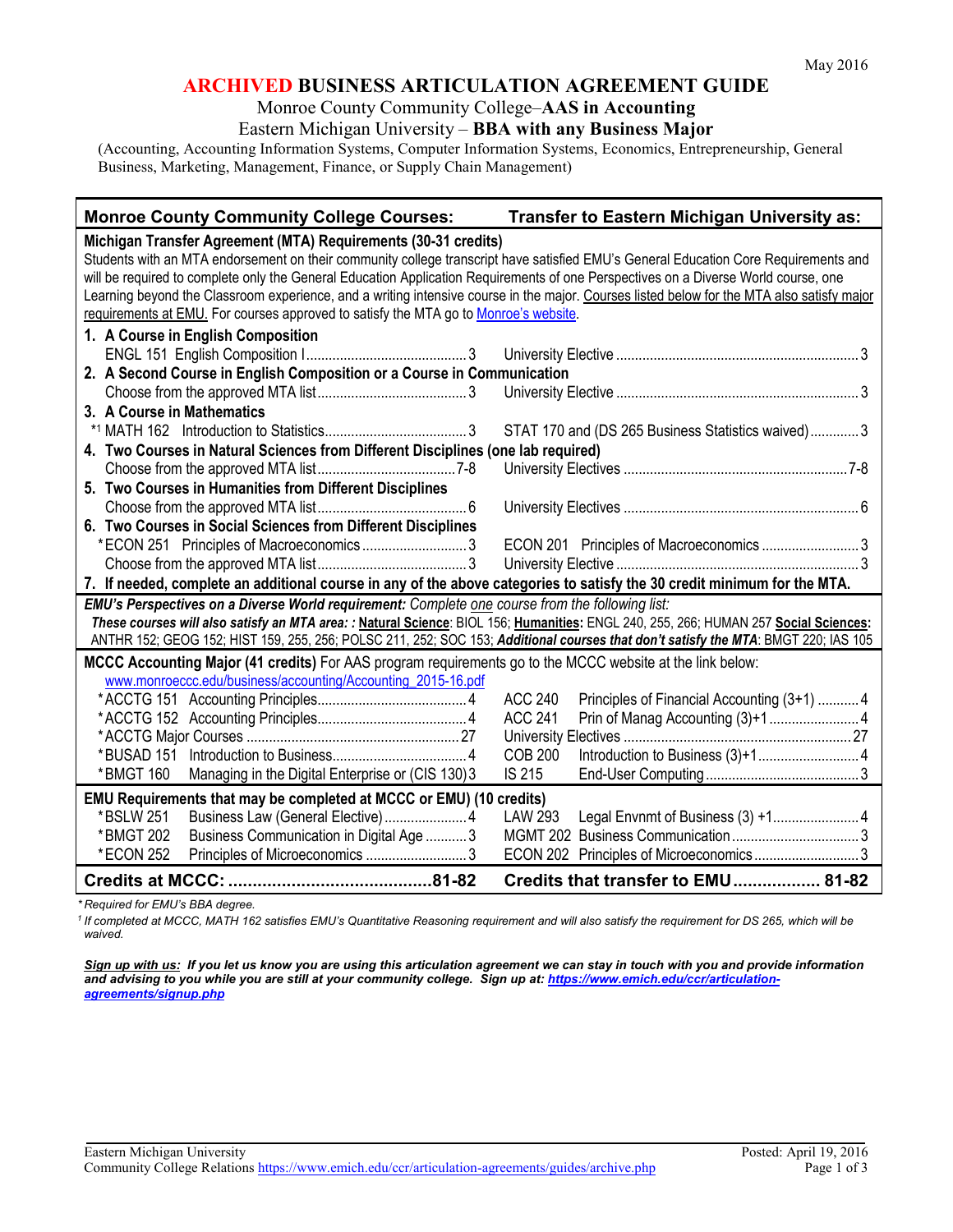# **ARCHIVED BUSINESS ARTICULATION AGREEMENT GUIDE**

#### Monroe County Community College–**AAS in Accounting**

### Eastern Michigan University – **BBA with any Business Major**

(Accounting, Accounting Information Systems, Computer Information Systems, Economics, Entrepreneurship, General Business, Marketing, Management, Finance, or Supply Chain Management)

### **Monroe County Community College Courses: Transfer to Eastern Michigan University as: Michigan Transfer Agreement (MTA) Requirements (30-31 credits)** Students with an MTA endorsement on their community college transcript have satisfied EMU's General Education Core Requirements and will be required to complete only the General Education Application Requirements of one Perspectives on a Diverse World course, one Learning beyond the Classroom experience, and a writing intensive course in the major. Courses listed below for the MTA also satisfy major requirements at EMU. For courses approved to satisfy the MTA go to Monroe's website. **1. A Course in English Composition** ENGL 151 English Composition I........................................... 3 University Elective ................................................................. 3 **2. A Second Course in English Composition or a Course in Communication** Choose from the approved MTA list........................................ 3 University Elective ................................................................. 3 **3. A Course in Mathematics** \*1 MATH 162 Introduction to Statistics...................................... 3 STAT 170 and (DS 265 Business Statistics waived)............. 3 **4. Two Courses in Natural Sciences from Different Disciplines (one lab required)** Choose from the approved MTA list.....................................7-8 University Electives ............................................................7-8 **5. Two Courses in Humanities from Different Disciplines** Choose from the approved MTA list........................................ 6 University Electives ............................................................... 6 **6. Two Courses in Social Sciences from Different Disciplines** \*ECON 251 Principles of Macroeconomics ............................ 3 ECON 201 Principles of Macroeconomics .......................... 3 Choose from the approved MTA list........................................ 3 University Elective ................................................................. 3 **7. If needed, complete an additional course in any of the above categories to satisfy the 30 credit minimum for the MTA.** *EMU's Perspectives on a Diverse World requirement: Complete one course from the following list: These courses will also satisfy an MTA area: :* **Natural Science**: BIOL 156; **Humanities:** ENGL 240, 255, 266; HUMAN 257 **Social Sciences:** ANTHR 152; GEOG 152; HIST 159, 255, 256; POLSC 211, 252; SOC 153; *Additional courses that don't satisfy the MTA*: BMGT 220; IAS 105 **MCCC Accounting Major (41 credits)** For AAS program requirements go to the MCCC website at the link below: [www.monroeccc.edu/business/accounting/Accounting\\_2015-16.pdf](http://www.monroeccc.edu/business/accounting/Accounting_2015-16.pdf) \*ACCTG 151 Accounting Principles........................................ 4 ACC 240 Principles of Financial Accounting (3+1) ........... 4 \*ACCTG 152 Accounting Principles........................................ 4 ACC 241 Prin of Manag Accounting (3)+1........................ 4 \*ACCTG Major Courses ......................................................... 27 University Electives ............................................................. 27 \*BUSAD 151 Introduction to Business.................................... 4 COB 200 Introduction to Business (3)+1........................... 4 \*BMGT 160 Managing in the Digital Enterprise or (CIS 130)3 IS 215 End-User Computing......................................... 3 **EMU Requirements that may be completed at MCCC or EMU) (10 credits)** \*BSLW 251 Business Law (General Elective)...................... 4 LAW 293 Legal Envnmt of Business (3) +1....................... 4 \*BMGT 202 Business Communication in Digital Age ........... 3 MGMT 202 Business Communication.................................. 3 \*ECON 252 Principles of Microeconomics ........................... 3 ECON 202 Principles of Microeconomics ............................ 3 **Credits at MCCC: ..........................................81-82 Credits that transfer to EMU.................. 81-82**

*\* Required for EMU's BBA degree.* 

*<sup>1</sup> If completed at MCCC, MATH 162 satisfies EMU's Quantitative Reasoning requirement and will also satisfy the requirement for DS 265, which will be waived.*

*Sign up with us: If you let us know you are using this articulation agreement we can stay in touch with you and provide information and advising to you while you are still at your community college. Sign up at: [https://www.emich.edu/ccr/articulation](https://www.emich.edu/ccr/articulation-agreements/signup.php)[agreements/signup.php](https://www.emich.edu/ccr/articulation-agreements/signup.php)*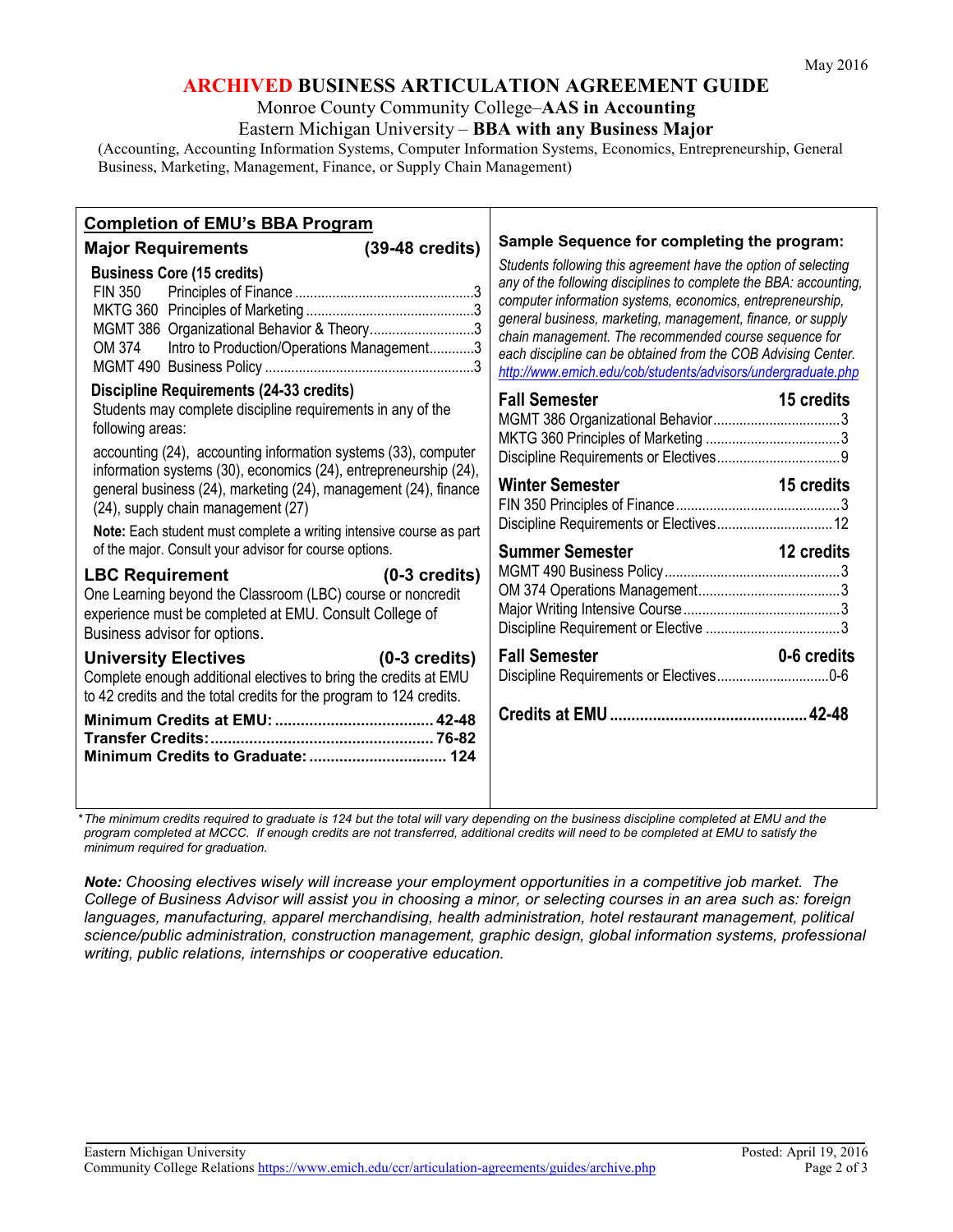# **ARCHIVED BUSINESS ARTICULATION AGREEMENT GUIDE**

#### Monroe County Community College–**AAS in Accounting**

Eastern Michigan University – **BBA with any Business Major**

(Accounting, Accounting Information Systems, Computer Information Systems, Economics, Entrepreneurship, General Business, Marketing, Management, Finance, or Supply Chain Management)

| <b>Completion of EMU's BBA Program</b>                                                                                                                                                                                                                                                                                                                                                                                                                                                                                                                                                                                                                                                                                                                                                                                                                                                                     |                                                                                                                                                                                                                                                                                                                                                                                                                                                                                                           |
|------------------------------------------------------------------------------------------------------------------------------------------------------------------------------------------------------------------------------------------------------------------------------------------------------------------------------------------------------------------------------------------------------------------------------------------------------------------------------------------------------------------------------------------------------------------------------------------------------------------------------------------------------------------------------------------------------------------------------------------------------------------------------------------------------------------------------------------------------------------------------------------------------------|-----------------------------------------------------------------------------------------------------------------------------------------------------------------------------------------------------------------------------------------------------------------------------------------------------------------------------------------------------------------------------------------------------------------------------------------------------------------------------------------------------------|
| $(39-48 \text{ credits})$<br><b>Major Requirements</b><br><b>Business Core (15 credits)</b><br><b>FIN 350</b><br>MGMT 386 Organizational Behavior & Theory3<br>Intro to Production/Operations Management3<br>OM 374                                                                                                                                                                                                                                                                                                                                                                                                                                                                                                                                                                                                                                                                                        | Sample Sequence for completing the program:<br>Students following this agreement have the option of selecting<br>any of the following disciplines to complete the BBA: accounting,<br>computer information systems, economics, entrepreneurship,<br>general business, marketing, management, finance, or supply<br>chain management. The recommended course sequence for<br>each discipline can be obtained from the COB Advising Center.<br>http://www.emich.edu/cob/students/advisors/undergraduate.php |
| <b>Discipline Requirements (24-33 credits)</b><br>Students may complete discipline requirements in any of the<br>following areas:<br>accounting (24), accounting information systems (33), computer<br>information systems (30), economics (24), entrepreneurship (24),<br>general business (24), marketing (24), management (24), finance<br>(24), supply chain management (27)<br>Note: Each student must complete a writing intensive course as part<br>of the major. Consult your advisor for course options.<br><b>LBC Requirement</b><br>$(0-3$ credits)<br>One Learning beyond the Classroom (LBC) course or noncredit<br>experience must be completed at EMU. Consult College of<br>Business advisor for options.<br>University Electives (0-3 credits)<br>Complete enough additional electives to bring the credits at EMU<br>to 42 credits and the total credits for the program to 124 credits. | <b>Fall Semester</b><br>15 credits<br>Winter Semester <b>Example 2018</b><br>15 credits<br>Discipline Requirements or Electives 12<br><b>Summer Semester Summer Semester</b><br>12 credits<br><b>Fall Semester</b><br>0-6 credits<br>Discipline Requirements or Electives0-6                                                                                                                                                                                                                              |

*\*The minimum credits required to graduate is 124 but the total will vary depending on the business discipline completed at EMU and the program completed at MCCC. If enough credits are not transferred, additional credits will need to be completed at EMU to satisfy the minimum required for graduation.*

*Note: Choosing electives wisely will increase your employment opportunities in a competitive job market. The College of Business Advisor will assist you in choosing a minor, or selecting courses in an area such as: foreign languages, manufacturing, apparel merchandising, health administration, hotel restaurant management, political science/public administration, construction management, graphic design, global information systems, professional writing, public relations, internships or cooperative education.*